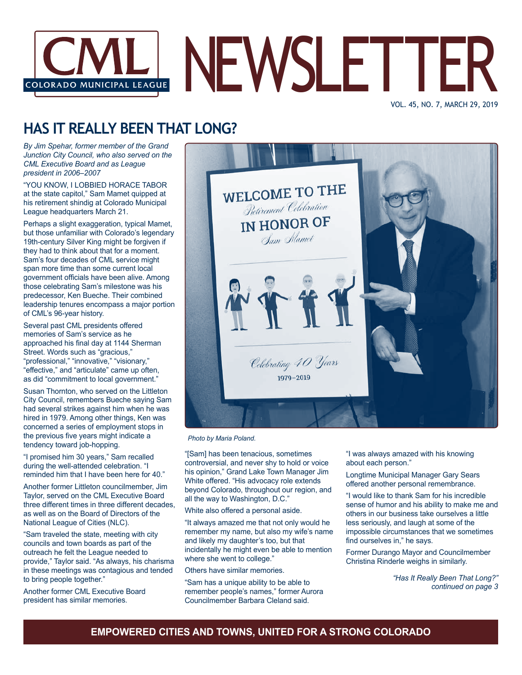

VOL. 45, NO. 7, MARCH 29, 2019

### **HAS IT REALLY BEEN THAT LONG?**

*By Jim Spehar, former member of the Grand Junction City Council, who also served on the CML Executive Board and as League president in 2006–2007*

"YOU KNOW, I LOBBIED HORACE TABOR at the state capitol," Sam Mamet quipped at his retirement shindig at Colorado Municipal League headquarters March 21.

Perhaps a slight exaggeration, typical Mamet, but those unfamiliar with Colorado's legendary 19th-century Silver King might be forgiven if they had to think about that for a moment. Sam's four decades of CML service might span more time than some current local government officials have been alive. Among those celebrating Sam's milestone was his predecessor, Ken Bueche. Their combined leadership tenures encompass a major portion of CML's 96-year history.

Several past CML presidents offered memories of Sam's service as he approached his final day at 1144 Sherman Street. Words such as "gracious," "professional," "innovative," "visionary," "effective," and "articulate" came up often, as did "commitment to local government."

Susan Thornton, who served on the Littleton City Council, remembers Bueche saying Sam had several strikes against him when he was hired in 1979. Among other things, Ken was concerned a series of employment stops in the previous five years might indicate a tendency toward job-hopping.

"I promised him 30 years," Sam recalled during the well-attended celebration. "I reminded him that I have been here for 40."

Another former Littleton councilmember, Jim Taylor, served on the CML Executive Board three different times in three different decades, as well as on the Board of Directors of the National League of Cities (NLC).

"Sam traveled the state, meeting with city councils and town boards as part of the outreach he felt the League needed to provide," Taylor said. "As always, his charisma in these meetings was contagious and tended to bring people together."

Another former CML Executive Board president has similar memories.



*Photo by Maria Poland.*

"[Sam] has been tenacious, sometimes controversial, and never shy to hold or voice his opinion," Grand Lake Town Manager Jim White offered. "His advocacy role extends beyond Colorado, throughout our region, and all the way to Washington, D.C."

White also offered a personal aside.

"It always amazed me that not only would he remember my name, but also my wife's name and likely my daughter's too, but that incidentally he might even be able to mention where she went to college."

Others have similar memories.

"Sam has a unique ability to be able to remember people's names," former Aurora Councilmember Barbara Cleland said.

"I was always amazed with his knowing about each person."

Longtime Municipal Manager Gary Sears offered another personal remembrance.

"I would like to thank Sam for his incredible sense of humor and his ability to make me and others in our business take ourselves a little less seriously, and laugh at some of the impossible circumstances that we sometimes find ourselves in," he says.

Former Durango Mayor and Councilmember Christina Rinderle weighs in similarly.

> *"Has It Really Been That Long?" continued on page 3*

### **EMPOWERED CITIES AND TOWNS, UNITED FOR A STRONG COLORADO**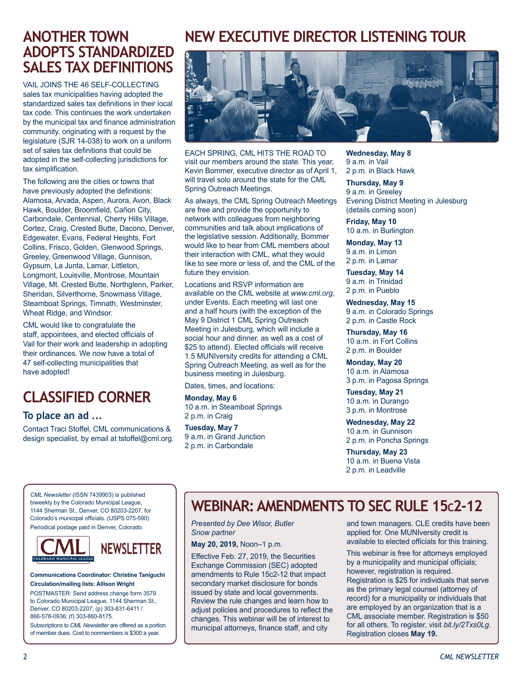### **ANOTHER TOWN ADOPTS STANDARDIZED SALES TAX DEFINITIONS**

VAIL JOINS THE 46 SELF-COLLECTING sales tax municipalities having adopted the standardized sales tax definitions in their local tax code. This continues the work undertaken by the municipal tax and finance administration community, originating with a request by the legislature (SJR 14-038) to work on a uniform set of sales tax definitions that could be adopted in the self-collecting jurisdictions for tax simplification.

The following are the cities or towns that have previously adopted the definitions: Alamosa, Arvada, Aspen, Aurora, Avon, Black Hawk, Boulder, Broomfield, Cañon City, Carbondale, Centennial, Cherry Hills Village, Cortez, Craig, Crested Butte, Dacono, Denver, Edgewater, Evans, Federal Heights, Fort Collins, Frisco, Golden, Glenwood Springs, Greeley, Greenwood Village, Gunnison, Gypsum, La Junta, Lamar, Littleton, Longmont, Louisville, Montrose, Mountain Village, Mt. Crested Butte, Northglenn, Parker, Sheridan, Silverthorne, Snowmass Village, Steamboat Springs, Timnath, Westminster, Wheat Ridge, and Windsor.

CML would like to congratulate the staff, appointees, and elected officials of Vail for their work and leadership in adopting their ordinances. We now have a total of 47 self-collecting municipalities that have adopted!

# **CLASSIFIED CORNER**

#### **To place an ad ...**

Contact Traci Stoffel, CML communications & design specialist, by email at tstoffel@cml.org.

### **NEW EXECUTIVE DIRECTOR LISTENING TOUR**



EACH SPRING, CML HITS THE ROAD TO visit our members around the state. This year, Kevin Bommer, executive director as of April 1, will travel solo around the state for the CML Spring Outreach Meetings.

As always, the CML Spring Outreach Meetings are free and provide the opportunity to network with colleagues from neighboring communities and talk about implications of the legislative session. Additionally, Bommer would like to hear from CML members about their interaction with CML, what they would like to see more or less of, and the CML of the future they envision.

Locations and RSVP information are available on the CML website at *www.cml.org*, under Events. Each meeting will last one and a half hours (with the exception of the May 9 District 1 CML Spring Outreach Meeting in Julesburg, which will include a social hour and dinner, as well as a cost of \$25 to attend). Elected officials will receive 1.5 MUNIversity credits for attending a CML Spring Outreach Meeting, as well as for the business meeting in Julesburg.

Dates, times, and locations:

**Monday, May 6** 10 a.m. in Steamboat Springs 2 p.m. in Craig

**Tuesday, May 7** 9 a.m. in Grand Junction 2 p.m. in Carbondale

**Wednesday, May 8** 9 a.m. in Vail 2 p.m. in Black Hawk

**Thursday, May 9** 9 a.m. in Greeley Evening District Meeting in Julesburg (details coming soon)

**Friday, May 10** 10 a.m. in Burlington

**Monday, May 13** 9 a.m. in Limon 2 p.m. in Lamar

**Tuesday, May 14**  9 a.m. in Trinidad 2 p.m. in Pueblo

**Wednesday, May 15** 9 a.m. in Colorado Springs 2 p.m. in Castle Rock

**Thursday, May 16**  10 a.m. in Fort Collins 2 p.m. in Boulder

**Monday, May 20** 10 a.m. in Alamosa 3 p.m. in Pagosa Springs

**Tuesday, May 21**  10 a.m. in Durango 3 p.m. in Montrose

**Wednesday, May 22**  10 a.m. in Gunnison 2 p.m. in Poncha Springs

**Thursday, May 23**  10 a.m. in Buena Vista 2 p.m. in Leadville

*CML Newsletter* (ISSN 7439903) is published biweekly by the Colorado Municipal League, 1144 Sherman St., Denver, CO 80203-2207, for Colorado's municipal officials. (USPS 075-590) Periodical postage paid in Denver, Colorado.



#### **Communications Coordinator: Christine Taniguchi Circulation/mailing lists: Allison Wright**

POSTMASTER: Send address change form 3579 to Colorado Municipal League, 1144 Sherman St., Denver, CO 80203-2207; (p) 303-831-6411 / 866-578-0936; (f) 303-860-8175.

Subscriptions to *CML Newsletter* are offered as a portion of member dues. Cost to nonmembers is \$300 a year.

### **WEBINAR: AMENDMENTS TO SEC RULE 15c2-12**

*Presented by Dee Wisor, Butler Snow partner*

**May 20, 2019,** Noon–1 p.m.

Effective Feb. 27, 2019, the Securities Exchange Commission (SEC) adopted amendments to Rule 15c2-12 that impact secondary market disclosure for bonds issued by state and local governments. Review the rule changes and learn how to adjust policies and procedures to reflect the changes. This webinar will be of interest to municipal attorneys, finance staff, and city

and town managers. CLE credits have been applied for. One MUNIversity credit is available to elected officials for this training.

This webinar is free for attorneys employed by a municipality and municipal officials; however, registration is required. Registration is \$25 for individuals that serve as the primary legal counsel (attorney of record) for a municipality or individuals that are employed by an organization that is a CML associate member. Registration is \$50 for all others. To register, visit *bit.ly/2Txs0Lg*. Registration closes **May 19.**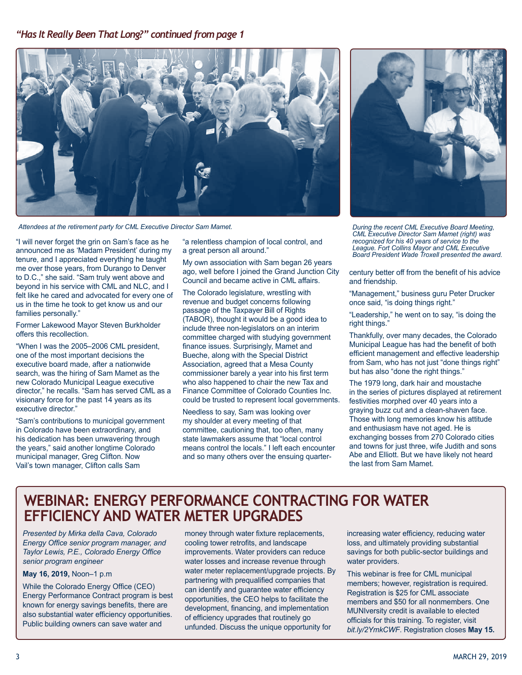#### *"Has It Really Been That Long?" continued from page 1*



*Attendees at the retirement party for CML Executive Director Sam Mamet.*

"I will never forget the grin on Sam's face as he announced me as 'Madam President' during my tenure, and I appreciated everything he taught me over those years, from Durango to Denver to D.C.," she said. "Sam truly went above and beyond in his service with CML and NLC, and I felt like he cared and advocated for every one of us in the time he took to get know us and our families personally."

Former Lakewood Mayor Steven Burkholder offers this recollection.

"When I was the 2005–2006 CML president, one of the most important decisions the executive board made, after a nationwide search, was the hiring of Sam Mamet as the new Colorado Municipal League executive director," he recalls. "Sam has served CML as a visionary force for the past 14 years as its executive director."

"Sam's contributions to municipal government in Colorado have been extraordinary, and his dedication has been unwavering through the years," said another longtime Colorado municipal manager, Greg Clifton. Now Vail's town manager, Clifton calls Sam

"a relentless champion of local control, and a great person all around."

My own association with Sam began 26 years ago, well before I joined the Grand Junction City Council and became active in CML affairs.

The Colorado legislature, wrestling with revenue and budget concerns following passage of the Taxpayer Bill of Rights (TABOR), thought it would be a good idea to include three non-legislators on an interim committee charged with studying government finance issues. Surprisingly, Mamet and Bueche, along with the Special District Association, agreed that a Mesa County commissioner barely a year into his first term who also happened to chair the new Tax and Finance Committee of Colorado Counties Inc. could be trusted to represent local governments.

Needless to say, Sam was looking over my shoulder at every meeting of that committee, cautioning that, too often, many state lawmakers assume that "local control means control the locals." I left each encounter and so many others over the ensuing quarter-



*During the recent CML Executive Board Meeting, CML Executive Director Sam Mamet (right) was recognized for his 40 years of service to the League. Fort Collins Mayor and CML Executive Board President Wade Troxell presented the award.*

century better off from the benefit of his advice and friendship.

"Management," business guru Peter Drucker once said, "is doing things right."

"Leadership," he went on to say, "is doing the right things."

Thankfully, over many decades, the Colorado Municipal League has had the benefit of both efficient management and effective leadership from Sam, who has not just "done things right" but has also "done the right things."

The 1979 long, dark hair and moustache in the series of pictures displayed at retirement festivities morphed over 40 years into a graying buzz cut and a clean-shaven face. Those with long memories know his attitude and enthusiasm have not aged. He is exchanging bosses from 270 Colorado cities and towns for just three, wife Judith and sons Abe and Elliott. But we have likely not heard the last from Sam Mamet.

### **WEBINAR: ENERGY PERFORMANCE CONTRACTING FOR WATER EFFICIENCY AND WATER METER UPGRADES**

*Presented by Mirka della Cava, Colorado Energy Office senior program manager, and Taylor Lewis, P.E., Colorado Energy Office senior program engineer*

#### **May 16, 2019,** Noon–1 p.m

While the Colorado Energy Office (CEO) Energy Performance Contract program is best known for energy savings benefits, there are also substantial water efficiency opportunities. Public building owners can save water and

money through water fixture replacements, cooling tower retrofits, and landscape improvements. Water providers can reduce water losses and increase revenue through water meter replacement/upgrade projects. By partnering with prequalified companies that can identify and guarantee water efficiency opportunities, the CEO helps to facilitate the development, financing, and implementation of efficiency upgrades that routinely go unfunded. Discuss the unique opportunity for

increasing water efficiency, reducing water loss, and ultimately providing substantial savings for both public-sector buildings and water providers.

This webinar is free for CML municipal members; however, registration is required. Registration is \$25 for CML associate members and \$50 for all nonmembers. One MUNIversity credit is available to elected officials for this training. To register, visit *bit.ly/2YmkCWF*. Registration closes **May 15.**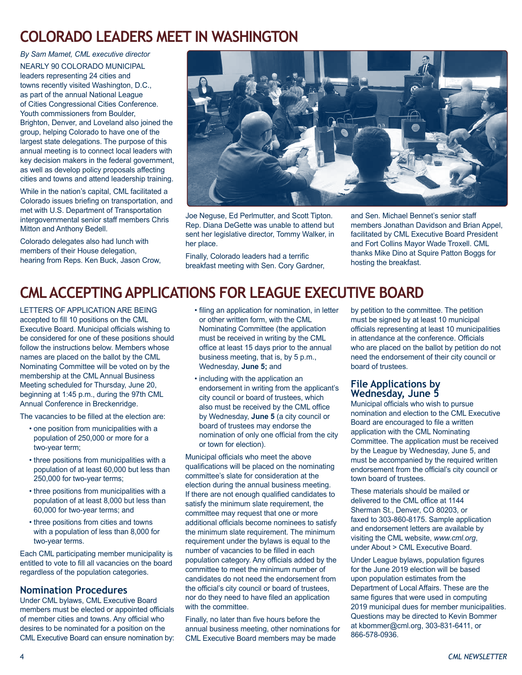### **COLORADO LEADERS MEET IN WASHINGTON**

*By Sam Mamet, CML executive director*

NEARLY 90 COLORADO MUNICIPAL leaders representing 24 cities and towns recently visited Washington, D.C., as part of the annual National League of Cities Congressional Cities Conference. Youth commissioners from Boulder, Brighton, Denver, and Loveland also joined the group, helping Colorado to have one of the largest state delegations. The purpose of this annual meeting is to connect local leaders with key decision makers in the federal government, as well as develop policy proposals affecting cities and towns and attend leadership training.

While in the nation's capital, CML facilitated a Colorado issues briefing on transportation, and met with U.S. Department of Transportation intergovernmental senior staff members Chris Mitton and Anthony Bedell.

Colorado delegates also had lunch with members of their House delegation, hearing from Reps. Ken Buck, Jason Crow,



Joe Neguse, Ed Perlmutter, and Scott Tipton. Rep. Diana DeGette was unable to attend but sent her legislative director, Tommy Walker, in her place.

Finally, Colorado leaders had a terrific breakfast meeting with Sen. Cory Gardner, and Sen. Michael Bennet's senior staff members Jonathan Davidson and Brian Appel, facilitated by CML Executive Board President and Fort Collins Mayor Wade Troxell. CML thanks Mike Dino at Squire Patton Boggs for hosting the breakfast.

# **CML ACCEPTING APPLICATIONS FOR LEAGUE EXECUTIVE BOARD**

LETTERS OF APPLICATION ARE BEING accepted to fill 10 positions on the CML Executive Board. Municipal officials wishing to be considered for one of these positions should follow the instructions below. Members whose names are placed on the ballot by the CML Nominating Committee will be voted on by the membership at the CML Annual Business Meeting scheduled for Thursday, June 20, beginning at 1:45 p.m., during the 97th CML Annual Conference in Breckenridge.

The vacancies to be filled at the election are:

- one position from municipalities with a population of 250,000 or more for a two-year term;
- three positions from municipalities with a population of at least 60,000 but less than 250,000 for two-year terms;
- three positions from municipalities with a population of at least 8,000 but less than 60,000 for two-year terms; and
- three positions from cities and towns with a population of less than 8,000 for two-year terms.

Each CML participating member municipality is entitled to vote to fill all vacancies on the board regardless of the population categories.

#### **Nomination Procedures**

Under CML bylaws, CML Executive Board members must be elected or appointed officials of member cities and towns. Any official who desires to be nominated for a position on the CML Executive Board can ensure nomination by:

- filing an application for nomination, in letter or other written form, with the CML Nominating Committee (the application must be received in writing by the CML office at least 15 days prior to the annual business meeting, that is, by 5 p.m., Wednesday, **June 5;** and
- including with the application an endorsement in writing from the applicant's city council or board of trustees, which also must be received by the CML office by Wednesday, **June 5** (a city council or board of trustees may endorse the nomination of only one official from the city or town for election).

Municipal officials who meet the above qualifications will be placed on the nominating committee's slate for consideration at the election during the annual business meeting. If there are not enough qualified candidates to satisfy the minimum slate requirement, the committee may request that one or more additional officials become nominees to satisfy the minimum slate requirement. The minimum requirement under the bylaws is equal to the number of vacancies to be filled in each population category. Any officials added by the committee to meet the minimum number of candidates do not need the endorsement from the official's city council or board of trustees, nor do they need to have filed an application with the committee.

Finally, no later than five hours before the annual business meeting, other nominations for CML Executive Board members may be made

by petition to the committee. The petition must be signed by at least 10 municipal officials representing at least 10 municipalities in attendance at the conference. Officials who are placed on the ballot by petition do not need the endorsement of their city council or board of trustees.

#### **File Applications by Wednesday, June 5**

Municipal officials who wish to pursue nomination and election to the CML Executive Board are encouraged to file a written application with the CML Nominating Committee. The application must be received by the League by Wednesday, June 5, and must be accompanied by the required written endorsement from the official's city council or town board of trustees.

These materials should be mailed or delivered to the CML office at 1144 Sherman St., Denver, CO 80203, or faxed to 303-860-8175. Sample application and endorsement letters are available by visiting the CML website, *www.cml.org*, under About > CML Executive Board.

Under League bylaws, population figures for the June 2019 election will be based upon population estimates from the Department of Local Affairs. These are the same figures that were used in computing 2019 municipal dues for member municipalities. Questions may be directed to Kevin Bommer at kbommer@cml.org, 303-831-6411, or 866-578-0936.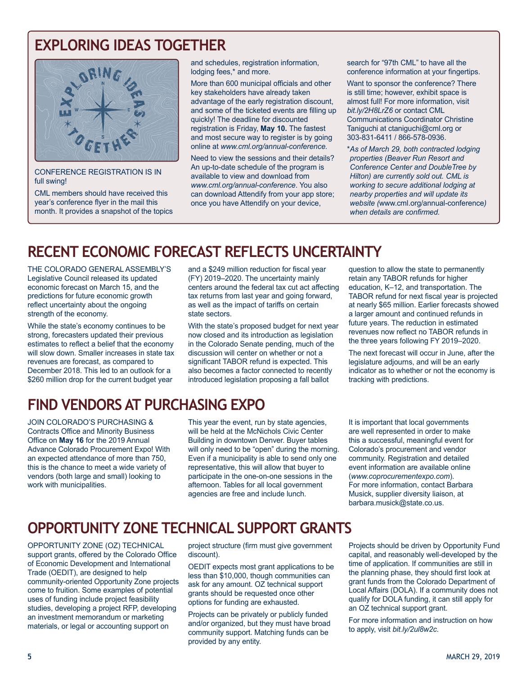### **EXPLORING IDEAS TOGETHER**



CONFERENCE REGISTRATION IS IN full swing!

CML members should have received this year's conference flyer in the mail this month. It provides a snapshot of the topics and schedules, registration information, lodging fees,\* and more.

More than 600 municipal officials and other key stakeholders have already taken advantage of the early registration discount, and some of the ticketed events are filling up quickly! The deadline for discounted registration is Friday, **May 10.** The fastest and most secure way to register is by going online at *www.cml.org/annual-conference.*

Need to view the sessions and their details? An up-to-date schedule of the program is available to view and download from *www.cml.org/annual-conference*. You also can download Attendify from your app store; once you have Attendify on your device,

search for "97th CML" to have all the conference information at your fingertips.

Want to sponsor the conference? There is still time; however, exhibit space is almost full! For more information, visit *bit.ly/2H8LrZ6* or contact CML Communications Coordinator Christine Taniguchi at ctaniguchi@cml.org or 303-831-6411 / 866-578-0936.

\**As of March 29, both contracted lodging properties (Beaver Run Resort and Conference Center and DoubleTree by Hilton) are currently sold out. CML is working to secure additional lodging at nearby properties and will update its website (*www.cml.org/annual-conference*) when details are confirmed.*

# **RECENT ECONOMIC FORECAST REFLECTS UNCERTAINTY**

THE COLORADO GENERAL ASSEMBLY'S Legislative Council released its updated economic forecast on March 15, and the predictions for future economic growth reflect uncertainty about the ongoing strength of the economy.

While the state's economy continues to be strong, forecasters updated their previous estimates to reflect a belief that the economy will slow down. Smaller increases in state tax revenues are forecast, as compared to December 2018. This led to an outlook for a \$260 million drop for the current budget year

and a \$249 million reduction for fiscal year (FY) 2019–2020. The uncertainty mainly centers around the federal tax cut act affecting tax returns from last year and going forward, as well as the impact of tariffs on certain state sectors.

With the state's proposed budget for next year now closed and its introduction as legislation in the Colorado Senate pending, much of the discussion will center on whether or not a significant TABOR refund is expected. This also becomes a factor connected to recently introduced legislation proposing a fall ballot

question to allow the state to permanently retain any TABOR refunds for higher education, K–12, and transportation. The TABOR refund for next fiscal year is projected at nearly \$65 million. Earlier forecasts showed a larger amount and continued refunds in future years. The reduction in estimated revenues now reflect no TABOR refunds in the three years following FY 2019–2020.

The next forecast will occur in June, after the legislature adjourns, and will be an early indicator as to whether or not the economy is tracking with predictions.

### **FIND VENDORS AT PURCHASING EXPO**

JOIN COLORADO'S PURCHASING & Contracts Office and Minority Business Office on **May 16** for the 2019 Annual Advance Colorado Procurement Expo! With an expected attendance of more than 750, this is the chance to meet a wide variety of vendors (both large and small) looking to work with municipalities.

This year the event, run by state agencies, will be held at the McNichols Civic Center Building in downtown Denver. Buyer tables will only need to be "open" during the morning. Even if a municipality is able to send only one representative, this will allow that buyer to participate in the one-on-one sessions in the afternoon. Tables for all local government agencies are free and include lunch.

It is important that local governments are well represented in order to make this a successful, meaningful event for Colorado's procurement and vendor community. Registration and detailed event information are available online (*www.coprocurementexpo.com*). For more information, contact Barbara Musick, supplier diversity liaison, at barbara.musick@state.co.us.

# **OPPORTUNITY ZONE TECHNICAL SUPPORT GRANTS**

OPPORTUNITY ZONE (OZ) TECHNICAL support grants, offered by the Colorado Office of Economic Development and International Trade (OEDIT), are designed to help community-oriented Opportunity Zone projects come to fruition. Some examples of potential uses of funding include project feasibility studies, developing a project RFP, developing an investment memorandum or marketing materials, or legal or accounting support on

project structure (firm must give government discount).

OEDIT expects most grant applications to be less than \$10,000, though communities can ask for any amount. OZ technical support grants should be requested once other options for funding are exhausted.

Projects can be privately or publicly funded and/or organized, but they must have broad community support. Matching funds can be provided by any entity.

Projects should be driven by Opportunity Fund capital, and reasonably well-developed by the time of application. If communities are still in the planning phase, they should first look at grant funds from the Colorado Department of Local Affairs (DOLA). If a community does not qualify for DOLA funding, it can still apply for an OZ technical support grant.

For more information and instruction on how to apply, visit *bit.ly/2ul8w2c*.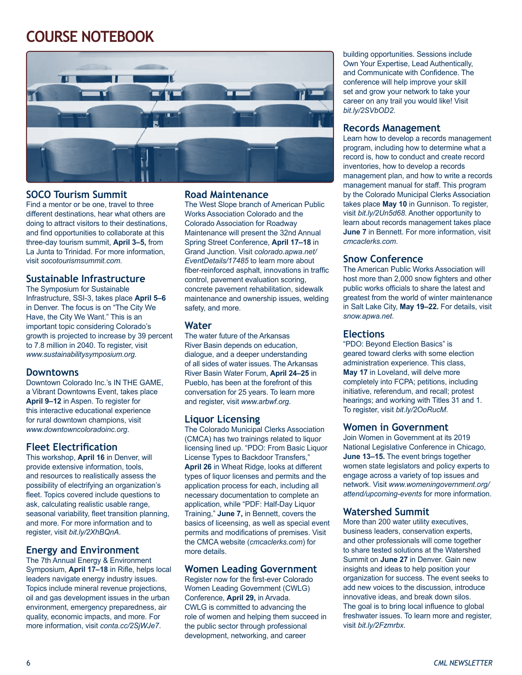# **COURSE NOTEBOOK**



#### **SOCO Tourism Summit**

Find a mentor or be one, travel to three different destinations, hear what others are doing to attract visitors to their destinations, and find opportunities to collaborate at this three-day tourism summit, **April 3–5,** from La Junta to Trinidad. For more information, visit *socotourismsummit.com.*

#### **Sustainable Infrastructure**

The Symposium for Sustainable Infrastructure, SSI-3, takes place **April 5–6** in Denver. The focus is on "The City We Have, the City We Want." This is an important topic considering Colorado's growth is projected to increase by 39 percent to 7.8 million in 2040. To register, visit *www.sustainabilitysymposium.org*.

#### **Downtowns**

Downtown Colorado Inc.'s IN THE GAME, a Vibrant Downtowns Event, takes place **April 9–12** in Aspen. To register for this interactive educational experience for rural downtown champions, visit *www.downtowncoloradoinc.org*.

#### **Fleet Electrification**

This workshop, **April 16** in Denver, will provide extensive information, tools, and resources to realistically assess the possibility of electrifying an organization's fleet. Topics covered include questions to ask, calculating realistic usable range, seasonal variability, fleet transition planning, and more. For more information and to register, visit *bit.ly/2XhBQnA*.

#### **Energy and Environment**

The 7th Annual Energy & Environment Symposium, **April 17–18** in Rifle, helps local leaders navigate energy industry issues. Topics include mineral revenue projections, oil and gas development issues in the urban environment, emergency preparedness, air quality, economic impacts, and more. For more information, visit *conta.cc/2SjWJe7*.

#### **Road Maintenance**

The West Slope branch of American Public Works Association Colorado and the Colorado Association for Roadway Maintenance will present the 32nd Annual Spring Street Conference, **April 17–18** in Grand Junction. Visit *colorado.apwa.net/ EventDetails/17485* to learn more about fiber-reinforced asphalt, innovations in traffic control, pavement evaluation scoring, concrete pavement rehabilitation, sidewalk maintenance and ownership issues, welding safety, and more.

#### **Water**

The water future of the Arkansas River Basin depends on education, dialogue, and a deeper understanding of all sides of water issues. The Arkansas River Basin Water Forum, **April 24–25** in Pueblo, has been at the forefront of this conversation for 25 years. To learn more and register, visit *www.arbwf.org*.

#### **Liquor Licensing**

The Colorado Municipal Clerks Association (CMCA) has two trainings related to liquor licensing lined up. "PDO: From Basic Liquor License Types to Backdoor Transfers," **April 26** in Wheat Ridge, looks at different types of liquor licenses and permits and the application process for each, including all necessary documentation to complete an application, while "PDF: Half-Day Liquor Training," **June 7,** in Bennett, covers the basics of liceensing, as well as special event permits and modifications of premises. Visit the CMCA website (*cmcaclerks.com*) for more details.

#### **Women Leading Government**

Register now for the first-ever Colorado Women Leading Government (CWLG) Conference, **April 29,** in Arvada. CWLG is committed to advancing the role of women and helping them succeed in the public sector through professional development, networking, and career

building opportunities. Sessions include Own Your Expertise, Lead Authentically, and Communicate with Confidence. The conference will help improve your skill set and grow your network to take your career on any trail you would like! Visit *bit.ly/2SVbOD2*.

#### **Records Management**

Learn how to develop a records management program, including how to determine what a record is, how to conduct and create record inventories, how to develop a records management plan, and how to write a records management manual for staff. This program by the Colorado Municipal Clerks Association takes place **May 10** in Gunnison. To register, visit *bit.ly/2Un5d68*. Another opportunity to learn about records management takes place **June 7** in Bennett. For more information, visit *cmcaclerks.com*.

#### **Snow Conference**

The American Public Works Association will host more than 2,000 snow fighters and other public works officials to share the latest and greatest from the world of winter maintenance in Salt Lake City, **May 19–22.** For details, visit *snow.apwa.net*.

#### **Elections**

"PDO: Beyond Election Basics" is geared toward clerks with some election administration experience. This class, **May 17** in Loveland, will delve more completely into FCPA; petitions, including initiative, referendum, and recall; protest hearings; and working with Titles 31 and 1. To register, visit *bit.ly/2OoRucM*.

#### **Women in Government**

Join Women in Government at its 2019 National Legislative Conference in Chicago, **June 13–15.** The event brings together women state legislators and policy experts to engage across a variety of top issues and network. Visit *www.womeningovernment.org/ attend/upcoming-events* for more information.

#### **Watershed Summit**

More than 200 water utility executives, business leaders, conservation experts, and other professionals will come together to share tested solutions at the Watershed Summit on **June 27** in Denver. Gain new insights and ideas to help position your organization for success. The event seeks to add new voices to the discussion, introduce innovative ideas, and break down silos. The goal is to bring local influence to global freshwater issues. To learn more and register, visit *bit.ly/2Fzmrbx*.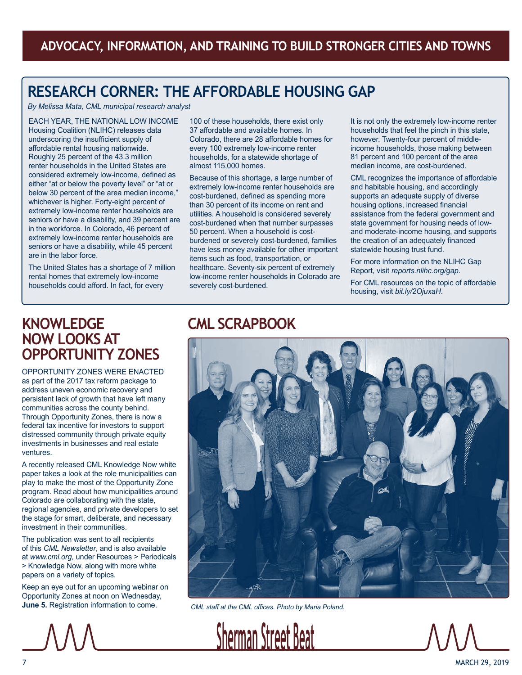# **RESEARCH CORNER: THE AFFORDABLE HOUSING GAP**

*By Melissa Mata, CML municipal research analyst*

EACH YEAR, THE NATIONAL LOW INCOME Housing Coalition (NLIHC) releases data underscoring the insufficient supply of affordable rental housing nationwide. Roughly 25 percent of the 43.3 million renter households in the United States are considered extremely low-income, defined as either "at or below the poverty level" or "at or below 30 percent of the area median income," whichever is higher. Forty-eight percent of extremely low-income renter households are seniors or have a disability, and 39 percent are in the workforce. In Colorado, 46 percent of extremely low-income renter households are seniors or have a disability, while 45 percent are in the labor force.

The United States has a shortage of 7 million rental homes that extremely low-income households could afford. In fact, for every

100 of these households, there exist only 37 affordable and available homes. In Colorado, there are 28 affordable homes for every 100 extremely low-income renter households, for a statewide shortage of almost 115,000 homes.

Because of this shortage, a large number of extremely low-income renter households are cost-burdened, defined as spending more than 30 percent of its income on rent and utilities. A household is considered severely cost-burdened when that number surpasses 50 percent. When a household is costburdened or severely cost-burdened, families have less money available for other important items such as food, transportation, or healthcare. Seventy-six percent of extremely low-income renter households in Colorado are severely cost-burdened.

It is not only the extremely low-income renter households that feel the pinch in this state, however. Twenty-four percent of middleincome households, those making between 81 percent and 100 percent of the area median income, are cost-burdened.

CML recognizes the importance of affordable and habitable housing, and accordingly supports an adequate supply of diverse housing options, increased financial assistance from the federal government and state government for housing needs of lowand moderate-income housing, and supports the creation of an adequately financed statewide housing trust fund.

For more information on the NLIHC Gap Report, visit *reports.nlihc.org/gap*.

For CML resources on the topic of affordable housing, visit *bit.ly/2OjuxaH*.

### **KNOWLEDGE NOW LOOKS AT OPPORTUNITY ZONES**

OPPORTUNITY ZONES WERE ENACTED as part of the 2017 tax reform package to address uneven economic recovery and persistent lack of growth that have left many communities across the county behind. Through Opportunity Zones, there is now a federal tax incentive for investors to support distressed community through private equity investments in businesses and real estate ventures.

A recently released CML Knowledge Now white paper takes a look at the role municipalities can play to make the most of the Opportunity Zone program. Read about how municipalities around Colorado are collaborating with the state, regional agencies, and private developers to set the stage for smart, deliberate, and necessary investment in their communities.

The publication was sent to all recipients of this *CML Newsletter*, and is also available at *www.cml.org,* under Resources > Periodicals > Knowledge Now, along with more white papers on a variety of topics.

Keep an eye out for an upcoming webinar on Opportunity Zones at noon on Wednesday, **June 5.** Registration information to come.

### **CML SCRAPBOOK**



*CML staff at the CML offices. Photo by Maria Poland.*



7 MARCH 29, 2019